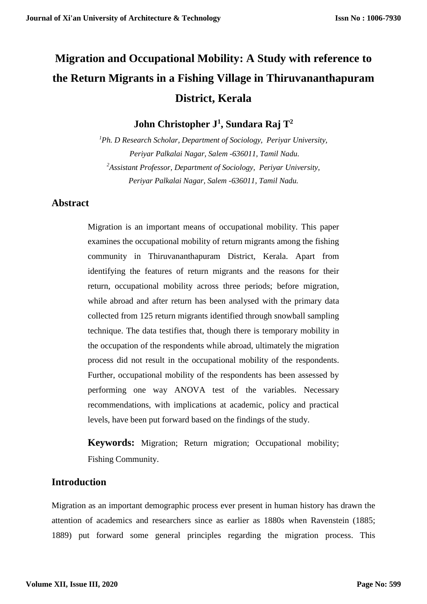# **Migration and Occupational Mobility: A Study with reference to the Return Migrants in a Fishing Village in Thiruvananthapuram District, Kerala**

**John Christopher J<sup>1</sup> , Sundara Raj T<sup>2</sup>**

*<sup>1</sup>Ph. D Research Scholar, Department of Sociology, Periyar University, Periyar Palkalai Nagar, Salem -636011, Tamil Nadu. <sup>2</sup>Assistant Professor, Department of Sociology, Periyar University, Periyar Palkalai Nagar, Salem -636011, Tamil Nadu.*

## **Abstract**

Migration is an important means of occupational mobility. This paper examines the occupational mobility of return migrants among the fishing community in Thiruvananthapuram District, Kerala. Apart from identifying the features of return migrants and the reasons for their return, occupational mobility across three periods; before migration, while abroad and after return has been analysed with the primary data collected from 125 return migrants identified through snowball sampling technique. The data testifies that, though there is temporary mobility in the occupation of the respondents while abroad, ultimately the migration process did not result in the occupational mobility of the respondents. Further, occupational mobility of the respondents has been assessed by performing one way ANOVA test of the variables. Necessary recommendations, with implications at academic, policy and practical levels, have been put forward based on the findings of the study.

**Keywords:** Migration; Return migration; Occupational mobility; Fishing Community.

#### **Introduction**

Migration as an important demographic process ever present in human history has drawn the attention of academics and researchers since as earlier as 1880s when Ravenstein (1885; 1889) put forward some general principles regarding the migration process. This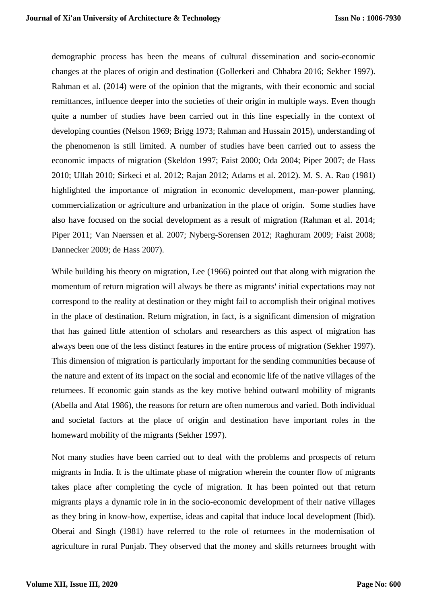demographic process has been the means of cultural dissemination and socio-economic changes at the places of origin and destination (Gollerkeri and Chhabra 2016; Sekher 1997). Rahman et al. (2014) were of the opinion that the migrants, with their economic and social remittances, influence deeper into the societies of their origin in multiple ways. Even though quite a number of studies have been carried out in this line especially in the context of developing counties (Nelson 1969; Brigg 1973; Rahman and Hussain 2015), understanding of the phenomenon is still limited. A number of studies have been carried out to assess the economic impacts of migration (Skeldon 1997; Faist 2000; Oda 2004; Piper 2007; de Hass 2010; Ullah 2010; Sirkeci et al. 2012; Rajan 2012; Adams et al. 2012). M. S. A. Rao (1981) highlighted the importance of migration in economic development, man-power planning, commercialization or agriculture and urbanization in the place of origin. Some studies have also have focused on the social development as a result of migration (Rahman et al. 2014; Piper 2011; Van Naerssen et al. 2007; Nyberg-Sorensen 2012; Raghuram 2009; Faist 2008; Dannecker 2009; de Hass 2007).

While building his theory on migration, Lee (1966) pointed out that along with migration the momentum of return migration will always be there as migrants' initial expectations may not correspond to the reality at destination or they might fail to accomplish their original motives in the place of destination. Return migration, in fact, is a significant dimension of migration that has gained little attention of scholars and researchers as this aspect of migration has always been one of the less distinct features in the entire process of migration (Sekher 1997). This dimension of migration is particularly important for the sending communities because of the nature and extent of its impact on the social and economic life of the native villages of the returnees. If economic gain stands as the key motive behind outward mobility of migrants (Abella and Atal 1986), the reasons for return are often numerous and varied. Both individual and societal factors at the place of origin and destination have important roles in the homeward mobility of the migrants (Sekher 1997).

Not many studies have been carried out to deal with the problems and prospects of return migrants in India. It is the ultimate phase of migration wherein the counter flow of migrants takes place after completing the cycle of migration. It has been pointed out that return migrants plays a dynamic role in in the socio-economic development of their native villages as they bring in know-how, expertise, ideas and capital that induce local development (Ibid). Oberai and Singh (1981) have referred to the role of returnees in the modernisation of agriculture in rural Punjab. They observed that the money and skills returnees brought with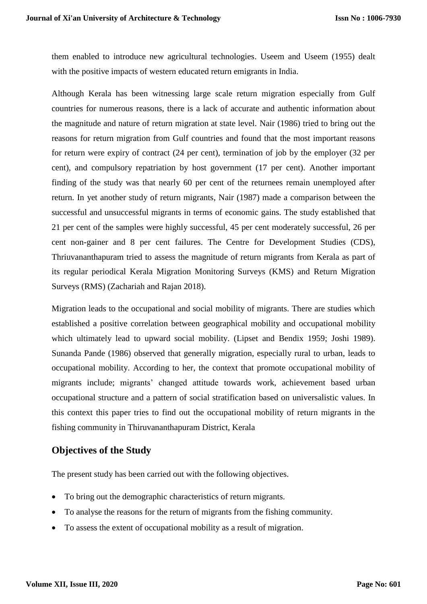them enabled to introduce new agricultural technologies. Useem and Useem (1955) dealt with the positive impacts of western educated return emigrants in India.

Although Kerala has been witnessing large scale return migration especially from Gulf countries for numerous reasons, there is a lack of accurate and authentic information about the magnitude and nature of return migration at state level. Nair (1986) tried to bring out the reasons for return migration from Gulf countries and found that the most important reasons for return were expiry of contract (24 per cent), termination of job by the employer (32 per cent), and compulsory repatriation by host government (17 per cent). Another important finding of the study was that nearly 60 per cent of the returnees remain unemployed after return. In yet another study of return migrants, Nair (1987) made a comparison between the successful and unsuccessful migrants in terms of economic gains. The study established that 21 per cent of the samples were highly successful, 45 per cent moderately successful, 26 per cent non-gainer and 8 per cent failures. The Centre for Development Studies (CDS), Thriuvananthapuram tried to assess the magnitude of return migrants from Kerala as part of its regular periodical Kerala Migration Monitoring Surveys (KMS) and Return Migration Surveys (RMS) (Zachariah and Rajan 2018).

Migration leads to the occupational and social mobility of migrants. There are studies which established a positive correlation between geographical mobility and occupational mobility which ultimately lead to upward social mobility. (Lipset and Bendix 1959; Joshi 1989). Sunanda Pande (1986) observed that generally migration, especially rural to urban, leads to occupational mobility. According to her, the context that promote occupational mobility of migrants include; migrants' changed attitude towards work, achievement based urban occupational structure and a pattern of social stratification based on universalistic values. In this context this paper tries to find out the occupational mobility of return migrants in the fishing community in Thiruvananthapuram District, Kerala

#### **Objectives of the Study**

The present study has been carried out with the following objectives.

- To bring out the demographic characteristics of return migrants.
- To analyse the reasons for the return of migrants from the fishing community.
- To assess the extent of occupational mobility as a result of migration.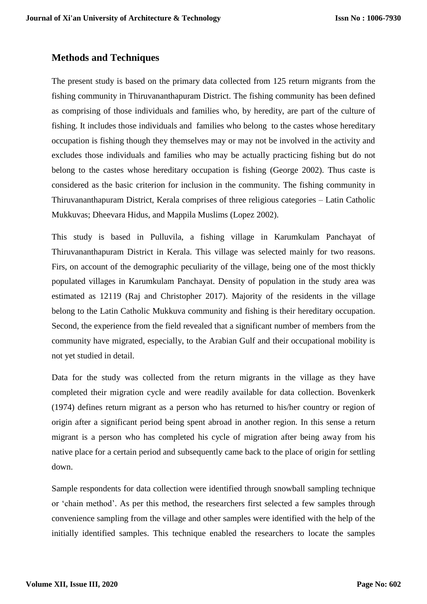#### **Methods and Techniques**

The present study is based on the primary data collected from 125 return migrants from the fishing community in Thiruvananthapuram District. The fishing community has been defined as comprising of those individuals and families who, by heredity, are part of the culture of fishing. It includes those individuals and families who belong to the castes whose hereditary occupation is fishing though they themselves may or may not be involved in the activity and excludes those individuals and families who may be actually practicing fishing but do not belong to the castes whose hereditary occupation is fishing (George 2002). Thus caste is considered as the basic criterion for inclusion in the community. The fishing community in Thiruvananthapuram District, Kerala comprises of three religious categories – Latin Catholic Mukkuvas; Dheevara Hidus, and Mappila Muslims (Lopez 2002).

This study is based in Pulluvila, a fishing village in Karumkulam Panchayat of Thiruvananthapuram District in Kerala. This village was selected mainly for two reasons. Firs, on account of the demographic peculiarity of the village, being one of the most thickly populated villages in Karumkulam Panchayat. Density of population in the study area was estimated as 12119 (Raj and Christopher 2017). Majority of the residents in the village belong to the Latin Catholic Mukkuva community and fishing is their hereditary occupation. Second, the experience from the field revealed that a significant number of members from the community have migrated, especially, to the Arabian Gulf and their occupational mobility is not yet studied in detail.

Data for the study was collected from the return migrants in the village as they have completed their migration cycle and were readily available for data collection. Bovenkerk (1974) defines return migrant as a person who has returned to his/her country or region of origin after a significant period being spent abroad in another region. In this sense a return migrant is a person who has completed his cycle of migration after being away from his native place for a certain period and subsequently came back to the place of origin for settling down.

Sample respondents for data collection were identified through snowball sampling technique or 'chain method'. As per this method, the researchers first selected a few samples through convenience sampling from the village and other samples were identified with the help of the initially identified samples. This technique enabled the researchers to locate the samples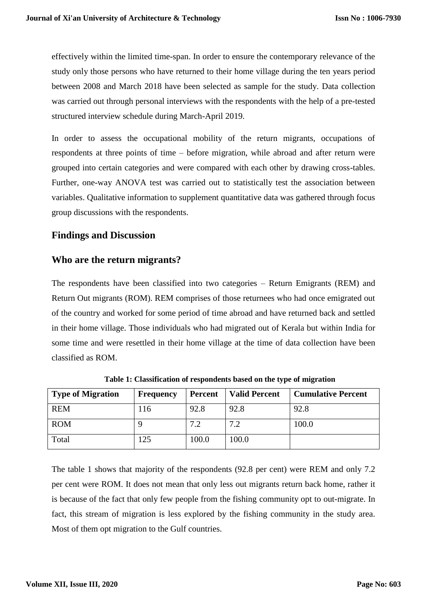effectively within the limited time-span. In order to ensure the contemporary relevance of the study only those persons who have returned to their home village during the ten years period between 2008 and March 2018 have been selected as sample for the study. Data collection was carried out through personal interviews with the respondents with the help of a pre-tested structured interview schedule during March-April 2019.

In order to assess the occupational mobility of the return migrants, occupations of respondents at three points of time – before migration, while abroad and after return were grouped into certain categories and were compared with each other by drawing cross-tables. Further, one-way ANOVA test was carried out to statistically test the association between variables. Qualitative information to supplement quantitative data was gathered through focus group discussions with the respondents.

## **Findings and Discussion**

## **Who are the return migrants?**

The respondents have been classified into two categories – Return Emigrants (REM) and Return Out migrants (ROM). REM comprises of those returnees who had once emigrated out of the country and worked for some period of time abroad and have returned back and settled in their home village. Those individuals who had migrated out of Kerala but within India for some time and were resettled in their home village at the time of data collection have been classified as ROM.

| <b>Type of Migration</b> | <b>Frequency</b> | <b>Percent</b> | <b>Valid Percent</b> | <b>Cumulative Percent</b> |
|--------------------------|------------------|----------------|----------------------|---------------------------|
| <b>REM</b>               | 116              | 92.8           | 92.8                 | 92.8                      |
| <b>ROM</b>               |                  | 7.2            | 7.2                  | 100.0                     |
| Total                    | 125              | 100.0          | 100.0                |                           |

**Table 1: Classification of respondents based on the type of migration**

The table 1 shows that majority of the respondents (92.8 per cent) were REM and only 7.2 per cent were ROM. It does not mean that only less out migrants return back home, rather it is because of the fact that only few people from the fishing community opt to out-migrate. In fact, this stream of migration is less explored by the fishing community in the study area. Most of them opt migration to the Gulf countries.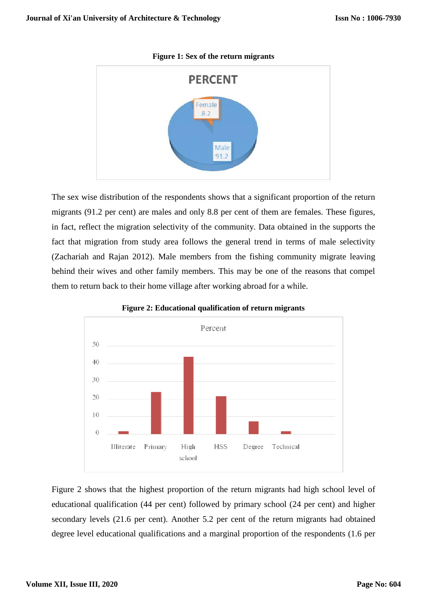

**Figure 1: Sex of the return migrants**

The sex wise distribution of the respondents shows that a significant proportion of the return migrants (91.2 per cent) are males and only 8.8 per cent of them are females. These figures, in fact, reflect the migration selectivity of the community. Data obtained in the supports the fact that migration from study area follows the general trend in terms of male selectivity (Zachariah and Rajan 2012). Male members from the fishing community migrate leaving behind their wives and other family members. This may be one of the reasons that compel them to return back to their home village after working abroad for a while.



**Figure 2: Educational qualification of return migrants**

Figure 2 shows that the highest proportion of the return migrants had high school level of educational qualification (44 per cent) followed by primary school (24 per cent) and higher secondary levels (21.6 per cent). Another 5.2 per cent of the return migrants had obtained degree level educational qualifications and a marginal proportion of the respondents (1.6 per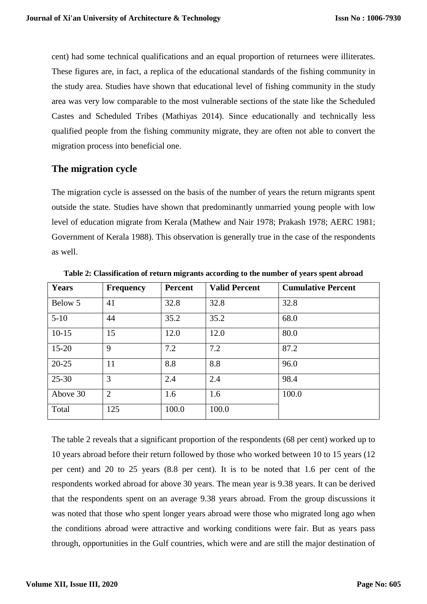cent) had some technical qualifications and an equal proportion of returnees were illiterates. These figures are, in fact, a replica of the educational standards of the fishing community in the study area. Studies have shown that educational level of fishing community in the study area was very low comparable to the most vulnerable sections of the state like the Scheduled Castes and Scheduled Tribes (Mathiyas 2014). Since educationally and technically less qualified people from the fishing community migrate, they are often not able to convert the migration process into beneficial one.

## **The migration cycle**

The migration cycle is assessed on the basis of the number of years the return migrants spent outside the state. Studies have shown that predominantly unmarried young people with low level of education migrate from Kerala (Mathew and Nair 1978; Prakash 1978; AERC 1981; Government of Kerala 1988). This observation is generally true in the case of the respondents as well.

| <b>Years</b> | <b>Frequency</b> | Percent | <b>Valid Percent</b> | <b>Cumulative Percent</b> |
|--------------|------------------|---------|----------------------|---------------------------|
| Below 5      | 41               | 32.8    | 32.8                 | 32.8                      |
| $5-10$       | 44               | 35.2    | 35.2                 | 68.0                      |
| $10-15$      | 15               | 12.0    | 12.0                 | 80.0                      |
| $15 - 20$    | 9                | 7.2     | 7.2                  | 87.2                      |
| $20 - 25$    | 11               | 8.8     | 8.8                  | 96.0                      |
| $25 - 30$    | 3                | 2.4     | 2.4                  | 98.4                      |
| Above 30     | $\overline{2}$   | 1.6     | 1.6                  | 100.0                     |
| Total        | 125              | 100.0   | 100.0                |                           |

**Table 2: Classification of return migrants according to the number of years spent abroad**

The table 2 reveals that a significant proportion of the respondents (68 per cent) worked up to 10 years abroad before their return followed by those who worked between 10 to 15 years (12 per cent) and 20 to 25 years (8.8 per cent). It is to be noted that 1.6 per cent of the respondents worked abroad for above 30 years. The mean year is 9.38 years. It can be derived that the respondents spent on an average 9.38 years abroad. From the group discussions it was noted that those who spent longer years abroad were those who migrated long ago when the conditions abroad were attractive and working conditions were fair. But as years pass through, opportunities in the Gulf countries, which were and are still the major destination of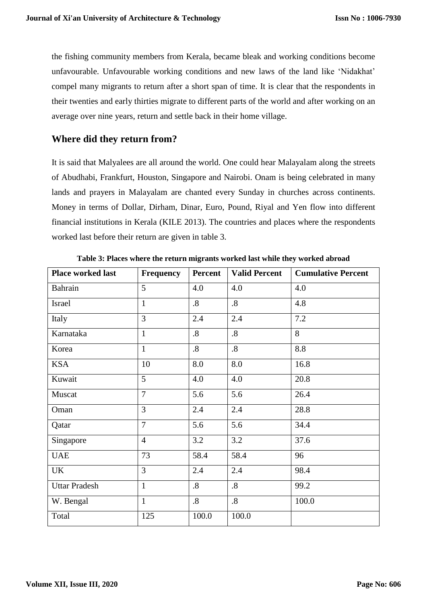the fishing community members from Kerala, became bleak and working conditions become unfavourable. Unfavourable working conditions and new laws of the land like 'Nidakhat' compel many migrants to return after a short span of time. It is clear that the respondents in their twenties and early thirties migrate to different parts of the world and after working on an average over nine years, return and settle back in their home village.

# **Where did they return from?**

It is said that Malyalees are all around the world. One could hear Malayalam along the streets of Abudhabi, Frankfurt, Houston, Singapore and Nairobi. Onam is being celebrated in many lands and prayers in Malayalam are chanted every Sunday in churches across continents. Money in terms of Dollar, Dirham, Dinar, Euro, Pound, Riyal and Yen flow into different financial institutions in Kerala (KILE 2013). The countries and places where the respondents worked last before their return are given in table 3.

| <b>Place worked last</b> | <b>Frequency</b> | Percent           | <b>Valid Percent</b> | <b>Cumulative Percent</b> |
|--------------------------|------------------|-------------------|----------------------|---------------------------|
| Bahrain                  | 5                | 4.0               | 4.0                  | 4.0                       |
| Israel                   | $\mathbf{1}$     | $\boldsymbol{8}$  | $\boldsymbol{.8}$    | 4.8                       |
| Italy                    | $\overline{3}$   | 2.4               | 2.4                  | 7.2                       |
| Karnataka                | $\mathbf{1}$     | $\boldsymbol{.8}$ | $\boldsymbol{.8}$    | 8                         |
| Korea                    | $\mathbf{1}$     | $\boldsymbol{.8}$ | $\boldsymbol{.8}$    | 8.8                       |
| <b>KSA</b>               | 10               | 8.0               | 8.0                  | 16.8                      |
| Kuwait                   | 5                | 4.0               | 4.0                  | 20.8                      |
| Muscat                   | $\overline{7}$   | 5.6               | 5.6                  | 26.4                      |
| Oman                     | 3                | 2.4               | 2.4                  | 28.8                      |
| Qatar                    | $\overline{7}$   | 5.6               | 5.6                  | 34.4                      |
| Singapore                | $\overline{4}$   | 3.2               | 3.2                  | 37.6                      |
| <b>UAE</b>               | 73               | 58.4              | 58.4                 | 96                        |
| <b>UK</b>                | 3                | 2.4               | 2.4                  | 98.4                      |
| <b>Uttar Pradesh</b>     | $\mathbf{1}$     | $.8\,$            | $\boldsymbol{.8}$    | 99.2                      |
| W. Bengal                | $\mathbf{1}$     | $\boldsymbol{8}$  | $\boldsymbol{.8}$    | 100.0                     |
| Total                    | 125              | 100.0             | 100.0                |                           |

**Table 3: Places where the return migrants worked last while they worked abroad**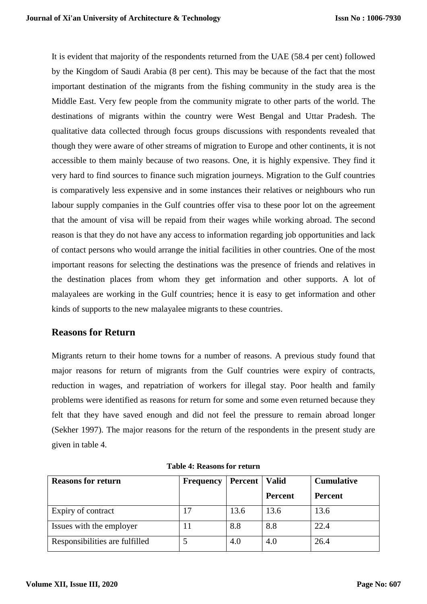It is evident that majority of the respondents returned from the UAE (58.4 per cent) followed by the Kingdom of Saudi Arabia (8 per cent). This may be because of the fact that the most important destination of the migrants from the fishing community in the study area is the Middle East. Very few people from the community migrate to other parts of the world. The destinations of migrants within the country were West Bengal and Uttar Pradesh. The qualitative data collected through focus groups discussions with respondents revealed that though they were aware of other streams of migration to Europe and other continents, it is not accessible to them mainly because of two reasons. One, it is highly expensive. They find it very hard to find sources to finance such migration journeys. Migration to the Gulf countries is comparatively less expensive and in some instances their relatives or neighbours who run labour supply companies in the Gulf countries offer visa to these poor lot on the agreement that the amount of visa will be repaid from their wages while working abroad. The second reason is that they do not have any access to information regarding job opportunities and lack of contact persons who would arrange the initial facilities in other countries. One of the most important reasons for selecting the destinations was the presence of friends and relatives in the destination places from whom they get information and other supports. A lot of malayalees are working in the Gulf countries; hence it is easy to get information and other kinds of supports to the new malayalee migrants to these countries.

# **Reasons for Return**

Migrants return to their home towns for a number of reasons. A previous study found that major reasons for return of migrants from the Gulf countries were expiry of contracts, reduction in wages, and repatriation of workers for illegal stay. Poor health and family problems were identified as reasons for return for some and some even returned because they felt that they have saved enough and did not feel the pressure to remain abroad longer (Sekher 1997). The major reasons for the return of the respondents in the present study are given in table 4.

| <b>Reasons for return</b>      | <b>Frequency</b> | Percent   Valid |                | <b>Cumulative</b> |
|--------------------------------|------------------|-----------------|----------------|-------------------|
|                                |                  |                 | <b>Percent</b> | <b>Percent</b>    |
| Expiry of contract             |                  | 13.6            | 13.6           | 13.6              |
| Issues with the employer       |                  | 8.8             | 8.8            | 22.4              |
| Responsibilities are fulfilled |                  | 4.0             | 4.0            | 26.4              |

| <b>Table 4: Reasons for return</b> |
|------------------------------------|
|------------------------------------|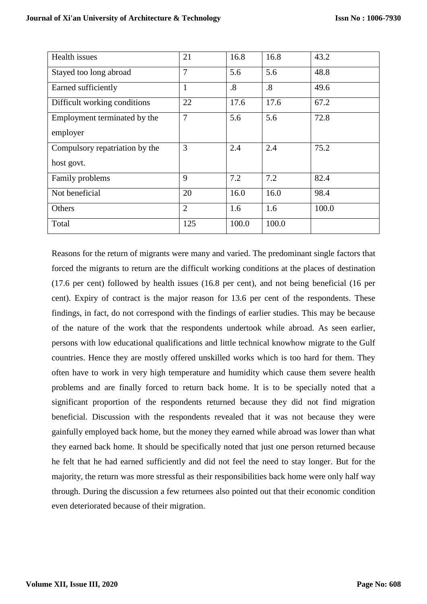| Health issues                  | 21             | 16.8  | 16.8  | 43.2  |
|--------------------------------|----------------|-------|-------|-------|
| Stayed too long abroad         | 7              | 5.6   | 5.6   | 48.8  |
| Earned sufficiently            |                | .8    | .8    | 49.6  |
| Difficult working conditions   | 22             | 17.6  | 17.6  | 67.2  |
| Employment terminated by the   | 7              | 5.6   | 5.6   | 72.8  |
| employer                       |                |       |       |       |
| Compulsory repatriation by the | 3              | 2.4   | 2.4   | 75.2  |
| host govt.                     |                |       |       |       |
| Family problems                | 9              | 7.2   | 7.2   | 82.4  |
| Not beneficial                 | 20             | 16.0  | 16.0  | 98.4  |
| Others                         | $\overline{2}$ | 1.6   | 1.6   | 100.0 |
| Total                          | 125            | 100.0 | 100.0 |       |

Reasons for the return of migrants were many and varied. The predominant single factors that forced the migrants to return are the difficult working conditions at the places of destination (17.6 per cent) followed by health issues (16.8 per cent), and not being beneficial (16 per cent). Expiry of contract is the major reason for 13.6 per cent of the respondents. These findings, in fact, do not correspond with the findings of earlier studies. This may be because of the nature of the work that the respondents undertook while abroad. As seen earlier, persons with low educational qualifications and little technical knowhow migrate to the Gulf countries. Hence they are mostly offered unskilled works which is too hard for them. They often have to work in very high temperature and humidity which cause them severe health problems and are finally forced to return back home. It is to be specially noted that a significant proportion of the respondents returned because they did not find migration beneficial. Discussion with the respondents revealed that it was not because they were gainfully employed back home, but the money they earned while abroad was lower than what they earned back home. It should be specifically noted that just one person returned because he felt that he had earned sufficiently and did not feel the need to stay longer. But for the majority, the return was more stressful as their responsibilities back home were only half way through. During the discussion a few returnees also pointed out that their economic condition even deteriorated because of their migration.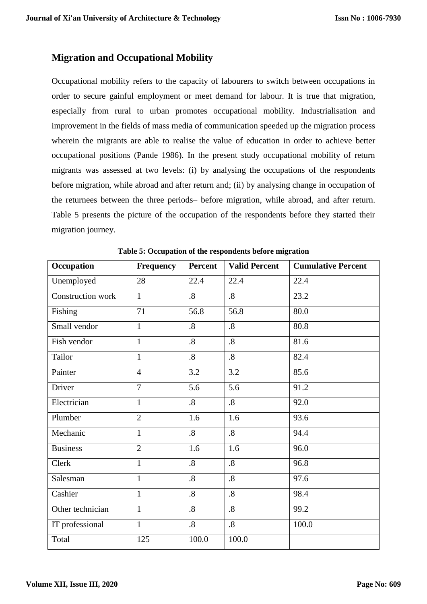# **Migration and Occupational Mobility**

Occupational mobility refers to the capacity of labourers to switch between occupations in order to secure gainful employment or meet demand for labour. It is true that migration, especially from rural to urban promotes occupational mobility. Industrialisation and improvement in the fields of mass media of communication speeded up the migration process wherein the migrants are able to realise the value of education in order to achieve better occupational positions (Pande 1986). In the present study occupational mobility of return migrants was assessed at two levels: (i) by analysing the occupations of the respondents before migration, while abroad and after return and; (ii) by analysing change in occupation of the returnees between the three periods– before migration, while abroad, and after return. Table 5 presents the picture of the occupation of the respondents before they started their migration journey.

| Occupation        | <b>Frequency</b> | Percent           | <b>Valid Percent</b> | <b>Cumulative Percent</b> |  |
|-------------------|------------------|-------------------|----------------------|---------------------------|--|
| Unemployed        | 28               | 22.4              | 22.4                 | 22.4                      |  |
| Construction work | $\mathbf{1}$     | $\boldsymbol{.8}$ | $\overline{.8}$      | 23.2                      |  |
| Fishing           | 71               | 56.8              | 56.8                 | 80.0                      |  |
| Small vendor      | $\mathbf{1}$     | $\cdot$ 8         | $\cdot$ 8            | 80.8                      |  |
| Fish vendor       | $\mathbf{1}$     | $\cdot$ 8         | $\overline{.8}$      | 81.6                      |  |
| Tailor            | $\mathbf{1}$     | $\boldsymbol{.8}$ | $\cdot$ 8            | 82.4                      |  |
| Painter           | $\overline{4}$   | 3.2               | 3.2                  | 85.6                      |  |
| Driver            | $\overline{7}$   | 5.6               | 5.6                  | 91.2                      |  |
| Electrician       | $\mathbf{1}$     | $\boldsymbol{.8}$ | $\overline{.8}$      | 92.0                      |  |
| Plumber           | $\overline{2}$   | 1.6               | 1.6                  | 93.6                      |  |
| Mechanic          | $\mathbf{1}$     | $\boldsymbol{.8}$ | $\boldsymbol{.8}$    | 94.4                      |  |
| <b>Business</b>   | $\overline{2}$   | 1.6               | 1.6                  | 96.0                      |  |
| Clerk             | $\mathbf{1}$     | $\boldsymbol{.8}$ | $\boldsymbol{8}$     | 96.8                      |  |
| Salesman          | $\mathbf{1}$     | $\boldsymbol{.8}$ | $\boldsymbol{.8}$    | 97.6                      |  |
| Cashier           | $\mathbf{1}$     | $\cdot$ 8         | $.8\,$               | 98.4                      |  |
| Other technician  | $\mathbf{1}$     | $\boldsymbol{.8}$ | $\boldsymbol{.8}$    | 99.2                      |  |
| IT professional   | $\mathbf{1}$     | $\boldsymbol{.8}$ | $\boldsymbol{.8}$    | 100.0                     |  |
| Total             | 125              | 100.0             | 100.0                |                           |  |

**Table 5: Occupation of the respondents before migration**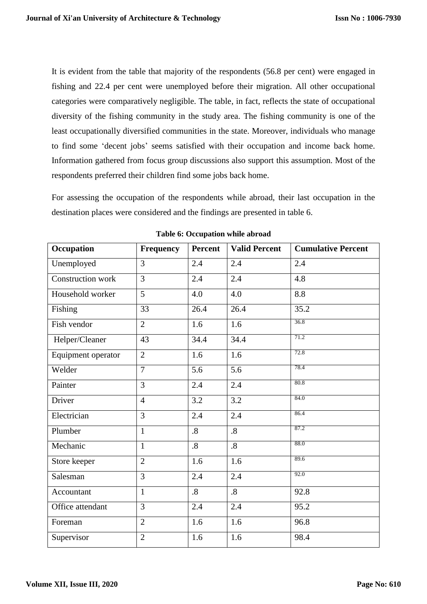It is evident from the table that majority of the respondents (56.8 per cent) were engaged in fishing and 22.4 per cent were unemployed before their migration. All other occupational categories were comparatively negligible. The table, in fact, reflects the state of occupational diversity of the fishing community in the study area. The fishing community is one of the least occupationally diversified communities in the state. Moreover, individuals who manage to find some 'decent jobs' seems satisfied with their occupation and income back home. Information gathered from focus group discussions also support this assumption. Most of the respondents preferred their children find some jobs back home.

For assessing the occupation of the respondents while abroad, their last occupation in the destination places were considered and the findings are presented in table 6.

| Occupation         | <b>Frequency</b> | <b>Percent</b>    | <b>Valid Percent</b> | <b>Cumulative Percent</b> |
|--------------------|------------------|-------------------|----------------------|---------------------------|
| Unemployed         | 3                | 2.4               | 2.4                  | 2.4                       |
| Construction work  | $\overline{3}$   | 2.4               | 2.4                  | 4.8                       |
| Household worker   | 5                | 4.0               | 4.0                  | 8.8                       |
| Fishing            | 33               | 26.4              | 26.4                 | 35.2                      |
| Fish vendor        | $\overline{2}$   | 1.6               | 1.6                  | 36.8                      |
| Helper/Cleaner     | 43               | 34.4              | 34.4                 | 71.2                      |
| Equipment operator | $\overline{2}$   | 1.6               | 1.6                  | 72.8                      |
| Welder             | $\overline{7}$   | 5.6               | 5.6                  | 78.4                      |
| Painter            | $\overline{3}$   | 2.4               | 2.4                  | 80.8                      |
| Driver             | $\overline{4}$   | 3.2               | 3.2                  | 84.0                      |
| Electrician        | 3                | 2.4               | 2.4                  | 86.4                      |
| Plumber            | $\mathbf{1}$     | $\boldsymbol{.8}$ | $\cdot$ 8            | 87.2                      |
| Mechanic           | $\mathbf{1}$     | $\boldsymbol{.8}$ | $\overline{.8}$      | 88.0                      |
| Store keeper       | $\overline{2}$   | 1.6               | 1.6                  | 89.6                      |
| Salesman           | $\overline{3}$   | 2.4               | 2.4                  | 92.0                      |
| Accountant         | $\mathbf{1}$     | $\overline{8}$    | $\cdot$ 8            | 92.8                      |
| Office attendant   | 3                | 2.4               | 2.4                  | 95.2                      |
| Foreman            | $\overline{2}$   | 1.6               | 1.6                  | 96.8                      |
| Supervisor         | $\overline{2}$   | 1.6               | 1.6                  | 98.4                      |

**Table 6: Occupation while abroad**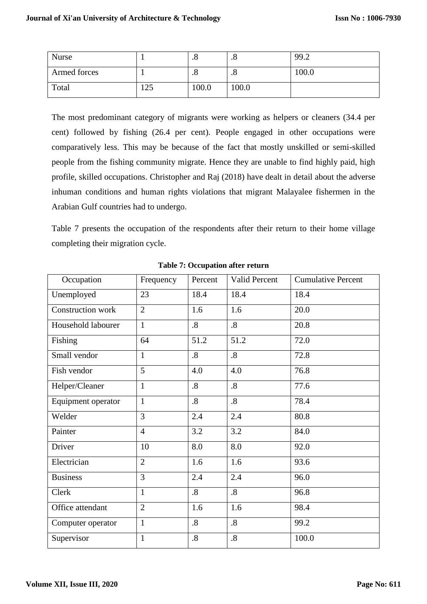| <b>Nurse</b> |     | . ب       | $\cdot$ o | 99.2  |
|--------------|-----|-----------|-----------|-------|
| Armed forces |     | $\cdot$ o | $\cdot$ o | 100.0 |
| Total        | 125 | 100.0     | 100.0     |       |

The most predominant category of migrants were working as helpers or cleaners (34.4 per cent) followed by fishing (26.4 per cent). People engaged in other occupations were comparatively less. This may be because of the fact that mostly unskilled or semi-skilled people from the fishing community migrate. Hence they are unable to find highly paid, high profile, skilled occupations. Christopher and Raj (2018) have dealt in detail about the adverse inhuman conditions and human rights violations that migrant Malayalee fishermen in the Arabian Gulf countries had to undergo.

Table 7 presents the occupation of the respondents after their return to their home village completing their migration cycle.

| Occupation         | Frequency      | Percent           | Valid Percent     | <b>Cumulative Percent</b> |
|--------------------|----------------|-------------------|-------------------|---------------------------|
| Unemployed         | 23             | 18.4              | 18.4              | 18.4                      |
| Construction work  | $\overline{2}$ | 1.6               | 1.6               | 20.0                      |
| Household labourer | $\mathbf{1}$   | $\boldsymbol{.8}$ | $\boldsymbol{.8}$ | 20.8                      |
| Fishing            | 64             | 51.2              | 51.2              | 72.0                      |
| Small vendor       | $\mathbf{1}$   | $\boldsymbol{.8}$ | $\boldsymbol{.8}$ | 72.8                      |
| Fish vendor        | 5              | 4.0               | 4.0               | 76.8                      |
| Helper/Cleaner     | $\mathbf{1}$   | $\boldsymbol{.8}$ | $\cdot$ 8         | 77.6                      |
| Equipment operator | $\mathbf{1}$   | $\boldsymbol{.8}$ | $\overline{8}$    | 78.4                      |
| Welder             | $\overline{3}$ | 2.4               | 2.4               | 80.8                      |
| Painter            | $\overline{4}$ | 3.2               | 3.2               | 84.0                      |
| Driver             | 10             | 8.0               | 8.0               | 92.0                      |
| Electrician        | $\overline{2}$ | 1.6               | 1.6               | 93.6                      |
| <b>Business</b>    | $\overline{3}$ | 2.4               | 2.4               | 96.0                      |
| Clerk              | 1              | $\boldsymbol{.8}$ | $\cdot$ 8         | 96.8                      |
| Office attendant   | $\overline{2}$ | 1.6               | 1.6               | 98.4                      |
| Computer operator  | $\mathbf{1}$   | $\boldsymbol{.8}$ | $\cdot$ 8         | 99.2                      |
| Supervisor         | $\mathbf{1}$   | $\boldsymbol{.8}$ | $\cdot$ 8         | 100.0                     |

**Table 7: Occupation after return**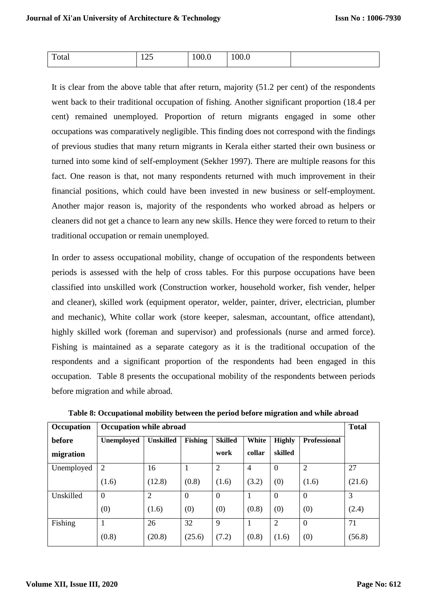| Total | $\sim$ $\sim$<br>14J | л<br>1 UU.U | X<br>v.v |  |
|-------|----------------------|-------------|----------|--|

It is clear from the above table that after return, majority (51.2 per cent) of the respondents went back to their traditional occupation of fishing. Another significant proportion (18.4 per cent) remained unemployed. Proportion of return migrants engaged in some other occupations was comparatively negligible. This finding does not correspond with the findings of previous studies that many return migrants in Kerala either started their own business or turned into some kind of self-employment (Sekher 1997). There are multiple reasons for this fact. One reason is that, not many respondents returned with much improvement in their financial positions, which could have been invested in new business or self-employment. Another major reason is, majority of the respondents who worked abroad as helpers or cleaners did not get a chance to learn any new skills. Hence they were forced to return to their traditional occupation or remain unemployed.

In order to assess occupational mobility, change of occupation of the respondents between periods is assessed with the help of cross tables. For this purpose occupations have been classified into unskilled work (Construction worker, household worker, fish vender, helper and cleaner), skilled work (equipment operator, welder, painter, driver, electrician, plumber and mechanic), White collar work (store keeper, salesman, accountant, office attendant), highly skilled work (foreman and supervisor) and professionals (nurse and armed force). Fishing is maintained as a separate category as it is the traditional occupation of the respondents and a significant proportion of the respondents had been engaged in this occupation. Table 8 presents the occupational mobility of the respondents between periods before migration and while abroad.

| Occupation | <b>Occupation while abroad</b> |                  |                  |                  |                |                  |                     | <b>Total</b> |
|------------|--------------------------------|------------------|------------------|------------------|----------------|------------------|---------------------|--------------|
| before     | Unemployed                     | <b>Unskilled</b> | <b>Fishing</b>   | <b>Skilled</b>   | White          | <b>Highly</b>    | <b>Professional</b> |              |
| migration  |                                |                  |                  | work             | collar         | skilled          |                     |              |
| Unemployed | $\overline{2}$                 | 16               |                  | $\overline{2}$   | $\overline{4}$ | $\boldsymbol{0}$ | $\overline{2}$      | 27           |
|            | (1.6)                          | (12.8)           | (0.8)            | (1.6)            | (3.2)          | (0)              | (1.6)               | (21.6)       |
| Unskilled  | $\overline{0}$                 | $\overline{2}$   | $\boldsymbol{0}$ | $\boldsymbol{0}$ |                | $\boldsymbol{0}$ | $\boldsymbol{0}$    | 3            |
|            | (0)                            | (1.6)            | (0)              | (0)              | (0.8)          | (0)              | (0)                 | (2.4)        |
| Fishing    |                                | 26               | 32               | 9                |                | $\overline{2}$   | $\mathbf{0}$        | 71           |
|            | (0.8)                          | (20.8)           | (25.6)           | (7.2)            | (0.8)          | (1.6)            | (0)                 | (56.8)       |

**Table 8: Occupational mobility between the period before migration and while abroad**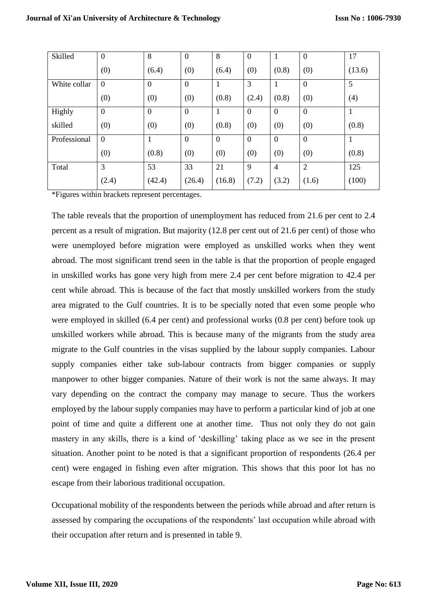| Skilled      | $\boldsymbol{0}$ | 8              | $\mathbf{0}$   | 8              | $\overline{0}$ | $\mathbf{1}$     | $\boldsymbol{0}$ | 17           |
|--------------|------------------|----------------|----------------|----------------|----------------|------------------|------------------|--------------|
|              | (0)              | (6.4)          | (0)            | (6.4)          | (0)            | (0.8)            | (0)              | (13.6)       |
| White collar | $\mathbf{0}$     | $\mathbf{0}$   | $\mathbf{0}$   | 1              | 3              | 1                | $\mathbf{0}$     | 5            |
|              | (0)              | (0)            | (0)            | (0.8)          | (2.4)          | (0.8)            | (0)              | (4)          |
| Highly       | $\mathbf{0}$     | $\overline{0}$ | $\overline{0}$ | 1              | $\overline{0}$ | $\overline{0}$   | $\overline{0}$   | $\mathbf{1}$ |
| skilled      | (0)              | (0)            | (0)            | (0.8)          | (0)            | (0)              | (0)              | (0.8)        |
| Professional | $\overline{0}$   | 1              | $\overline{0}$ | $\overline{0}$ | $\overline{0}$ | $\boldsymbol{0}$ | $\boldsymbol{0}$ | 1            |
|              | (0)              | (0.8)          | (0)            | (0)            | (0)            | (0)              | (0)              | (0.8)        |
| Total        | 3                | 53             | 33             | 21             | 9              | $\overline{4}$   | $\overline{2}$   | 125          |
|              | (2.4)            | (42.4)         | (26.4)         | (16.8)         | (7.2)          | (3.2)            | (1.6)            | (100)        |

\*Figures within brackets represent percentages.

The table reveals that the proportion of unemployment has reduced from 21.6 per cent to 2.4 percent as a result of migration. But majority (12.8 per cent out of 21.6 per cent) of those who were unemployed before migration were employed as unskilled works when they went abroad. The most significant trend seen in the table is that the proportion of people engaged in unskilled works has gone very high from mere 2.4 per cent before migration to 42.4 per cent while abroad. This is because of the fact that mostly unskilled workers from the study area migrated to the Gulf countries. It is to be specially noted that even some people who were employed in skilled (6.4 per cent) and professional works (0.8 per cent) before took up unskilled workers while abroad. This is because many of the migrants from the study area migrate to the Gulf countries in the visas supplied by the labour supply companies. Labour supply companies either take sub-labour contracts from bigger companies or supply manpower to other bigger companies. Nature of their work is not the same always. It may vary depending on the contract the company may manage to secure. Thus the workers employed by the labour supply companies may have to perform a particular kind of job at one point of time and quite a different one at another time. Thus not only they do not gain mastery in any skills, there is a kind of 'deskilling' taking place as we see in the present situation. Another point to be noted is that a significant proportion of respondents (26.4 per cent) were engaged in fishing even after migration. This shows that this poor lot has no escape from their laborious traditional occupation.

Occupational mobility of the respondents between the periods while abroad and after return is assessed by comparing the occupations of the respondents' last occupation while abroad with their occupation after return and is presented in table 9.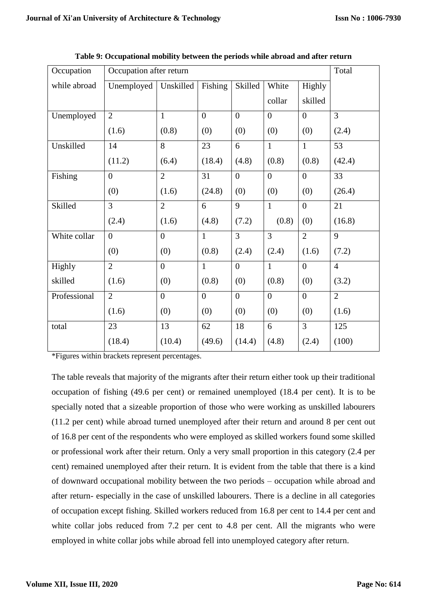| Occupation   | Occupation after return |                |                |                  |                  |                  | Total          |
|--------------|-------------------------|----------------|----------------|------------------|------------------|------------------|----------------|
| while abroad | Unemployed              | Unskilled      | Fishing        | Skilled          | White            | Highly           |                |
|              |                         |                |                |                  | collar           | skilled          |                |
| Unemployed   | $\overline{2}$          | $\mathbf{1}$   | $\overline{0}$ | $\overline{0}$   | $\overline{0}$   | $\theta$         | $\overline{3}$ |
|              | (1.6)                   | (0.8)          | (0)            | (0)              | (0)              | (0)              | (2.4)          |
| Unskilled    | 14                      | 8              | 23             | 6                | $\mathbf{1}$     | $\mathbf{1}$     | 53             |
|              | (11.2)                  | (6.4)          | (18.4)         | (4.8)            | (0.8)            | (0.8)            | (42.4)         |
| Fishing      | $\boldsymbol{0}$        | $\overline{2}$ | 31             | $\boldsymbol{0}$ | $\boldsymbol{0}$ | $\mathbf{0}$     | 33             |
|              | (0)                     | (1.6)          | (24.8)         | (0)              | (0)              | (0)              | (26.4)         |
| Skilled      | $\overline{3}$          | $\overline{2}$ | 6              | 9                | $\mathbf{1}$     | $\overline{0}$   | 21             |
|              | (2.4)                   | (1.6)          | (4.8)          | (7.2)            | (0.8)            | (0)              | (16.8)         |
| White collar | $\overline{0}$          | $\overline{0}$ | $\mathbf{1}$   | $\overline{3}$   | $\overline{3}$   | $\overline{2}$   | 9              |
|              | (0)                     | (0)            | (0.8)          | (2.4)            | (2.4)            | (1.6)            | (7.2)          |
| Highly       | $\overline{2}$          | $\overline{0}$ | $\mathbf{1}$   | $\overline{0}$   | $\mathbf{1}$     | $\theta$         | $\overline{4}$ |
| skilled      | (1.6)                   | (0)            | (0.8)          | (0)              | (0.8)            | (0)              | (3.2)          |
| Professional | $\overline{2}$          | $\overline{0}$ | $\overline{0}$ | $\overline{0}$   | $\boldsymbol{0}$ | $\boldsymbol{0}$ | $\overline{2}$ |
|              | (1.6)                   | (0)            | (0)            | (0)              | (0)              | (0)              | (1.6)          |
| total        | 23                      | 13             | 62             | 18               | 6                | 3                | 125            |
|              | (18.4)                  | (10.4)         | (49.6)         | (14.4)           | (4.8)            | (2.4)            | (100)          |

**Table 9: Occupational mobility between the periods while abroad and after return**

\*Figures within brackets represent percentages.

The table reveals that majority of the migrants after their return either took up their traditional occupation of fishing (49.6 per cent) or remained unemployed (18.4 per cent). It is to be specially noted that a sizeable proportion of those who were working as unskilled labourers (11.2 per cent) while abroad turned unemployed after their return and around 8 per cent out of 16.8 per cent of the respondents who were employed as skilled workers found some skilled or professional work after their return. Only a very small proportion in this category (2.4 per cent) remained unemployed after their return. It is evident from the table that there is a kind of downward occupational mobility between the two periods – occupation while abroad and after return- especially in the case of unskilled labourers. There is a decline in all categories of occupation except fishing. Skilled workers reduced from 16.8 per cent to 14.4 per cent and white collar jobs reduced from 7.2 per cent to 4.8 per cent. All the migrants who were employed in white collar jobs while abroad fell into unemployed category after return.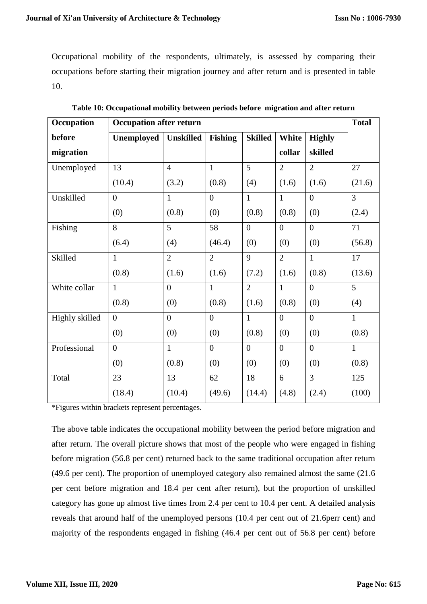Occupational mobility of the respondents, ultimately, is assessed by comparing their occupations before starting their migration journey and after return and is presented in table 10.

| Occupation     | <b>Occupation after return</b> |                  |                |                |                |                | <b>Total</b>   |
|----------------|--------------------------------|------------------|----------------|----------------|----------------|----------------|----------------|
| before         | Unemployed                     | <b>Unskilled</b> | <b>Fishing</b> | <b>Skilled</b> | White          | <b>Highly</b>  |                |
| migration      |                                |                  |                |                | collar         | skilled        |                |
| Unemployed     | 13                             | $\overline{4}$   | $\mathbf{1}$   | 5              | $\overline{2}$ | $\overline{2}$ | 27             |
|                | (10.4)                         | (3.2)            | (0.8)          | (4)            | (1.6)          | (1.6)          | (21.6)         |
| Unskilled      | $\overline{0}$                 | $\mathbf{1}$     | $\overline{0}$ | $\mathbf{1}$   | $\mathbf{1}$   | $\overline{0}$ | $\overline{3}$ |
|                | (0)                            | (0.8)            | (0)            | (0.8)          | (0.8)          | (0)            | (2.4)          |
| Fishing        | 8                              | 5 <sup>5</sup>   | 58             | $\overline{0}$ | $\overline{0}$ | $\overline{0}$ | 71             |
|                | (6.4)                          | (4)              | (46.4)         | (0)            | (0)            | (0)            | (56.8)         |
| Skilled        | $\mathbf{1}$                   | $\overline{2}$   | $\overline{2}$ | 9              | $\overline{2}$ | $\mathbf{1}$   | 17             |
|                | (0.8)                          | (1.6)            | (1.6)          | (7.2)          | (1.6)          | (0.8)          | (13.6)         |
| White collar   | $\mathbf{1}$                   | $\overline{0}$   | $\mathbf{1}$   | $\overline{2}$ | $\mathbf{1}$   | $\overline{0}$ | 5              |
|                | (0.8)                          | (0)              | (0.8)          | (1.6)          | (0.8)          | (0)            | (4)            |
| Highly skilled | $\overline{0}$                 | $\overline{0}$   | $\overline{0}$ | $\mathbf{1}$   | $\overline{0}$ | $\overline{0}$ | $\mathbf{1}$   |
|                | (0)                            | (0)              | (0)            | (0.8)          | (0)            | (0)            | (0.8)          |
| Professional   | $\overline{0}$                 | $\mathbf{1}$     | $\overline{0}$ | $\overline{0}$ | $\overline{0}$ | $\overline{0}$ | $\mathbf{1}$   |
|                | (0)                            | (0.8)            | (0)            | (0)            | (0)            | (0)            | (0.8)          |
| Total          | 23                             | 13               | 62             | 18             | 6              | $\overline{3}$ | 125            |
|                | (18.4)                         | (10.4)           | (49.6)         | (14.4)         | (4.8)          | (2.4)          | (100)          |

| Table 10: Occupational mobility between periods before migration and after return |  |  |
|-----------------------------------------------------------------------------------|--|--|
|                                                                                   |  |  |

\*Figures within brackets represent percentages.

The above table indicates the occupational mobility between the period before migration and after return. The overall picture shows that most of the people who were engaged in fishing before migration (56.8 per cent) returned back to the same traditional occupation after return (49.6 per cent). The proportion of unemployed category also remained almost the same (21.6 per cent before migration and 18.4 per cent after return), but the proportion of unskilled category has gone up almost five times from 2.4 per cent to 10.4 per cent. A detailed analysis reveals that around half of the unemployed persons (10.4 per cent out of 21.6perr cent) and majority of the respondents engaged in fishing (46.4 per cent out of 56.8 per cent) before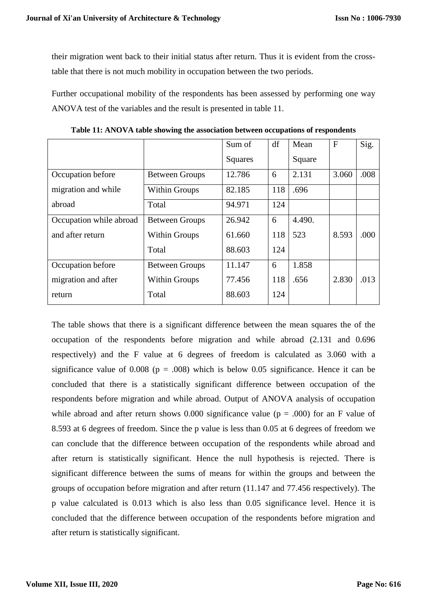their migration went back to their initial status after return. Thus it is evident from the crosstable that there is not much mobility in occupation between the two periods.

Further occupational mobility of the respondents has been assessed by performing one way ANOVA test of the variables and the result is presented in table 11.

|                         |                       | Sum of  | df  | Mean   | $\mathbf{F}$ | Sig. |
|-------------------------|-----------------------|---------|-----|--------|--------------|------|
|                         |                       | Squares |     | Square |              |      |
| Occupation before       | <b>Between Groups</b> | 12.786  | 6   | 2.131  | 3.060        | .008 |
| migration and while     | <b>Within Groups</b>  | 82.185  | 118 | .696   |              |      |
| abroad                  | Total                 | 94.971  | 124 |        |              |      |
| Occupation while abroad | <b>Between Groups</b> | 26.942  | 6   | 4.490. |              |      |
| and after return        | <b>Within Groups</b>  | 61.660  | 118 | 523    | 8.593        | .000 |
|                         | Total                 | 88.603  | 124 |        |              |      |
| Occupation before       | <b>Between Groups</b> | 11.147  | 6   | 1.858  |              |      |
| migration and after     | <b>Within Groups</b>  | 77.456  | 118 | .656   | 2.830        | .013 |
| return                  | Total                 | 88.603  | 124 |        |              |      |

**Table 11: ANOVA table showing the association between occupations of respondents**

The table shows that there is a significant difference between the mean squares the of the occupation of the respondents before migration and while abroad (2.131 and 0.696 respectively) and the F value at 6 degrees of freedom is calculated as 3.060 with a significance value of 0.008 ( $p = .008$ ) which is below 0.05 significance. Hence it can be concluded that there is a statistically significant difference between occupation of the respondents before migration and while abroad. Output of ANOVA analysis of occupation while abroad and after return shows 0.000 significance value ( $p = .000$ ) for an F value of 8.593 at 6 degrees of freedom. Since the p value is less than 0.05 at 6 degrees of freedom we can conclude that the difference between occupation of the respondents while abroad and after return is statistically significant. Hence the null hypothesis is rejected. There is significant difference between the sums of means for within the groups and between the groups of occupation before migration and after return (11.147 and 77.456 respectively). The p value calculated is 0.013 which is also less than 0.05 significance level. Hence it is concluded that the difference between occupation of the respondents before migration and after return is statistically significant.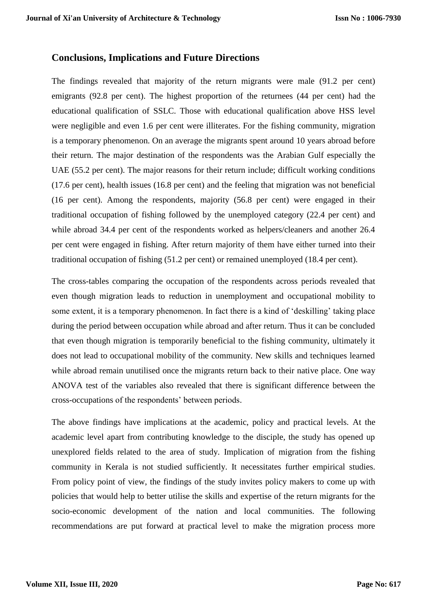#### **Conclusions, Implications and Future Directions**

The findings revealed that majority of the return migrants were male (91.2 per cent) emigrants (92.8 per cent). The highest proportion of the returnees (44 per cent) had the educational qualification of SSLC. Those with educational qualification above HSS level were negligible and even 1.6 per cent were illiterates. For the fishing community, migration is a temporary phenomenon. On an average the migrants spent around 10 years abroad before their return. The major destination of the respondents was the Arabian Gulf especially the UAE (55.2 per cent). The major reasons for their return include; difficult working conditions (17.6 per cent), health issues (16.8 per cent) and the feeling that migration was not beneficial (16 per cent). Among the respondents, majority (56.8 per cent) were engaged in their traditional occupation of fishing followed by the unemployed category (22.4 per cent) and while abroad 34.4 per cent of the respondents worked as helpers/cleaners and another 26.4 per cent were engaged in fishing. After return majority of them have either turned into their traditional occupation of fishing (51.2 per cent) or remained unemployed (18.4 per cent).

The cross-tables comparing the occupation of the respondents across periods revealed that even though migration leads to reduction in unemployment and occupational mobility to some extent, it is a temporary phenomenon. In fact there is a kind of 'deskilling' taking place during the period between occupation while abroad and after return. Thus it can be concluded that even though migration is temporarily beneficial to the fishing community, ultimately it does not lead to occupational mobility of the community. New skills and techniques learned while abroad remain unutilised once the migrants return back to their native place. One way ANOVA test of the variables also revealed that there is significant difference between the cross-occupations of the respondents' between periods.

The above findings have implications at the academic, policy and practical levels. At the academic level apart from contributing knowledge to the disciple, the study has opened up unexplored fields related to the area of study. Implication of migration from the fishing community in Kerala is not studied sufficiently. It necessitates further empirical studies. From policy point of view, the findings of the study invites policy makers to come up with policies that would help to better utilise the skills and expertise of the return migrants for the socio-economic development of the nation and local communities. The following recommendations are put forward at practical level to make the migration process more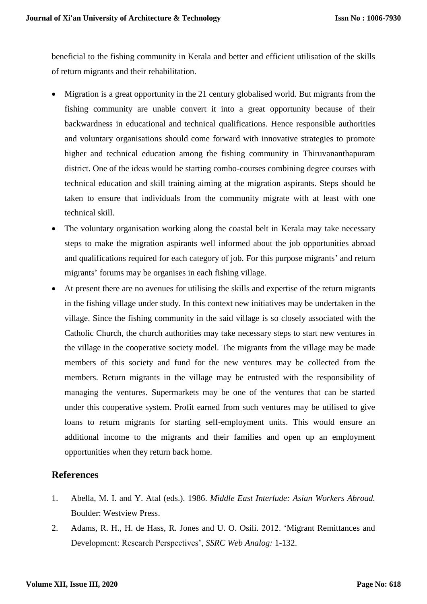beneficial to the fishing community in Kerala and better and efficient utilisation of the skills of return migrants and their rehabilitation.

- Migration is a great opportunity in the 21 century globalised world. But migrants from the fishing community are unable convert it into a great opportunity because of their backwardness in educational and technical qualifications. Hence responsible authorities and voluntary organisations should come forward with innovative strategies to promote higher and technical education among the fishing community in Thiruvananthapuram district. One of the ideas would be starting combo-courses combining degree courses with technical education and skill training aiming at the migration aspirants. Steps should be taken to ensure that individuals from the community migrate with at least with one technical skill.
- The voluntary organisation working along the coastal belt in Kerala may take necessary steps to make the migration aspirants well informed about the job opportunities abroad and qualifications required for each category of job. For this purpose migrants' and return migrants' forums may be organises in each fishing village.
- At present there are no avenues for utilising the skills and expertise of the return migrants in the fishing village under study. In this context new initiatives may be undertaken in the village. Since the fishing community in the said village is so closely associated with the Catholic Church, the church authorities may take necessary steps to start new ventures in the village in the cooperative society model. The migrants from the village may be made members of this society and fund for the new ventures may be collected from the members. Return migrants in the village may be entrusted with the responsibility of managing the ventures. Supermarkets may be one of the ventures that can be started under this cooperative system. Profit earned from such ventures may be utilised to give loans to return migrants for starting self-employment units. This would ensure an additional income to the migrants and their families and open up an employment opportunities when they return back home.

# **References**

- 1. Abella, M. I. and Y. Atal (eds.). 1986. *Middle East Interlude: Asian Workers Abroad.*  Boulder: Westview Press.
- 2. Adams, R. H., H. de Hass, R. Jones and U. O. Osili. 2012. 'Migrant Remittances and Development: Research Perspectives', *SSRC Web Analog:* 1-132.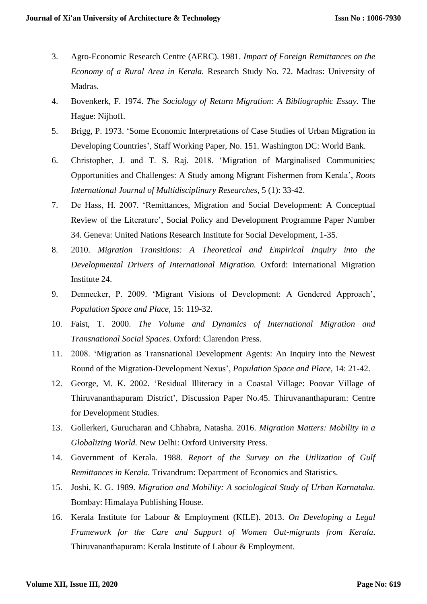- 3. Agro-Economic Research Centre (AERC). 1981. *Impact of Foreign Remittances on the Economy of a Rural Area in Kerala.* Research Study No. 72. Madras: University of Madras.
- 4. Bovenkerk, F. 1974. *The Sociology of Return Migration: A Bibliographic Essay.* The Hague: Nijhoff.
- 5. Brigg, P. 1973. 'Some Economic Interpretations of Case Studies of Urban Migration in Developing Countries', Staff Working Paper, No. 151. Washington DC: World Bank.
- 6. Christopher, J. and T. S. Raj. 2018. 'Migration of Marginalised Communities; Opportunities and Challenges: A Study among Migrant Fishermen from Kerala', *Roots International Journal of Multidisciplinary Researches,* 5 (1): 33-42.
- 7. De Hass, H. 2007. 'Remittances, Migration and Social Development: A Conceptual Review of the Literature', Social Policy and Development Programme Paper Number 34. Geneva: United Nations Research Institute for Social Development, 1-35.
- 8. 2010. *Migration Transitions: A Theoretical and Empirical Inquiry into the Developmental Drivers of International Migration.* Oxford: International Migration Institute 24.
- 9. Dennecker, P. 2009. 'Migrant Visions of Development: A Gendered Approach', *Population Space and Place,* 15: 119-32.
- 10. Faist, T. 2000. *The Volume and Dynamics of International Migration and Transnational Social Spaces.* Oxford: Clarendon Press.
- 11. 2008. 'Migration as Transnational Development Agents: An Inquiry into the Newest Round of the Migration-Development Nexus', *Population Space and Place,* 14: 21-42.
- 12. George, M. K. 2002. 'Residual Illiteracy in a Coastal Village: Poovar Village of Thiruvananthapuram District', Discussion Paper No.45. Thiruvananthapuram: Centre for Development Studies.
- 13. Gollerkeri, Gurucharan and Chhabra, Natasha. 2016. *Migration Matters: Mobility in a Globalizing World.* New Delhi: Oxford University Press.
- 14. Government of Kerala. 1988*. Report of the Survey on the Utilization of Gulf Remittances in Kerala.* Trivandrum: Department of Economics and Statistics.
- 15. Joshi, K. G. 1989. *Migration and Mobility: A sociological Study of Urban Karnataka.*  Bombay: Himalaya Publishing House.
- 16. Kerala Institute for Labour & Employment (KILE). 2013. *On Developing a Legal Framework for the Care and Support of Women Out-migrants from Kerala*. Thiruvananthapuram: Kerala Institute of Labour & Employment.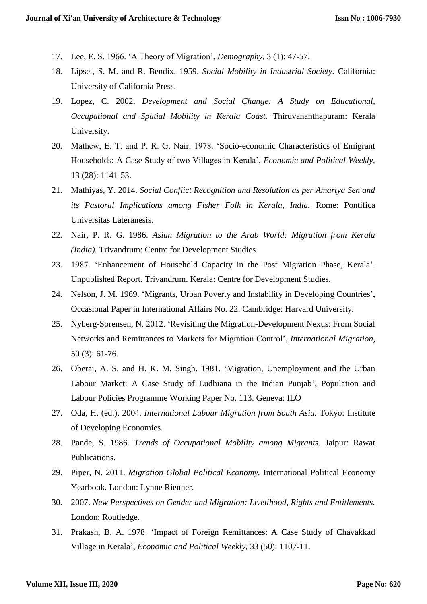- 17. Lee, E. S. 1966. 'A Theory of Migration', *Demography,* 3 (1): 47-57.
- 18. Lipset, S. M. and R. Bendix. 1959. *Social Mobility in Industrial Society.* California: University of California Press.
- 19. Lopez, C. 2002. *Development and Social Change: A Study on Educational, Occupational and Spatial Mobility in Kerala Coast.* Thiruvananthapuram: Kerala University.
- 20. Mathew, E. T. and P. R. G. Nair. 1978. 'Socio-economic Characteristics of Emigrant Households: A Case Study of two Villages in Kerala', *Economic and Political Weekly,*  13 (28): 1141-53.
- 21. Mathiyas, Y. 2014. *Social Conflict Recognition and Resolution as per Amartya Sen and its Pastoral Implications among Fisher Folk in Kerala, India.* Rome: Pontifica Universitas Lateranesis.
- 22. Nair, P. R. G. 1986. *Asian Migration to the Arab World: Migration from Kerala (India).* Trivandrum: Centre for Development Studies.
- 23. 1987. 'Enhancement of Household Capacity in the Post Migration Phase, Kerala'. Unpublished Report. Trivandrum. Kerala: Centre for Development Studies.
- 24. Nelson, J. M. 1969. 'Migrants, Urban Poverty and Instability in Developing Countries', Occasional Paper in International Affairs No. 22. Cambridge: Harvard University.
- 25. Nyberg-Sorensen, N. 2012. 'Revisiting the Migration-Development Nexus: From Social Networks and Remittances to Markets for Migration Control', *International Migration,* 50 (3): 61-76.
- 26. Oberai, A. S. and H. K. M. Singh. 1981. 'Migration, Unemployment and the Urban Labour Market: A Case Study of Ludhiana in the Indian Punjab', Population and Labour Policies Programme Working Paper No. 113. Geneva: ILO
- 27. Oda, H. (ed.). 2004. *International Labour Migration from South Asia.* Tokyo: Institute of Developing Economies.
- 28. Pande, S. 1986. *Trends of Occupational Mobility among Migrants.* Jaipur: Rawat Publications.
- 29. Piper, N. 2011. *Migration Global Political Economy.* International Political Economy Yearbook. London: Lynne Rienner.
- 30. 2007. *New Perspectives on Gender and Migration: Livelihood, Rights and Entitlements.*  London: Routledge.
- 31. Prakash, B. A. 1978. 'Impact of Foreign Remittances: A Case Study of Chavakkad Village in Kerala', *Economic and Political Weekly,* 33 (50): 1107-11.